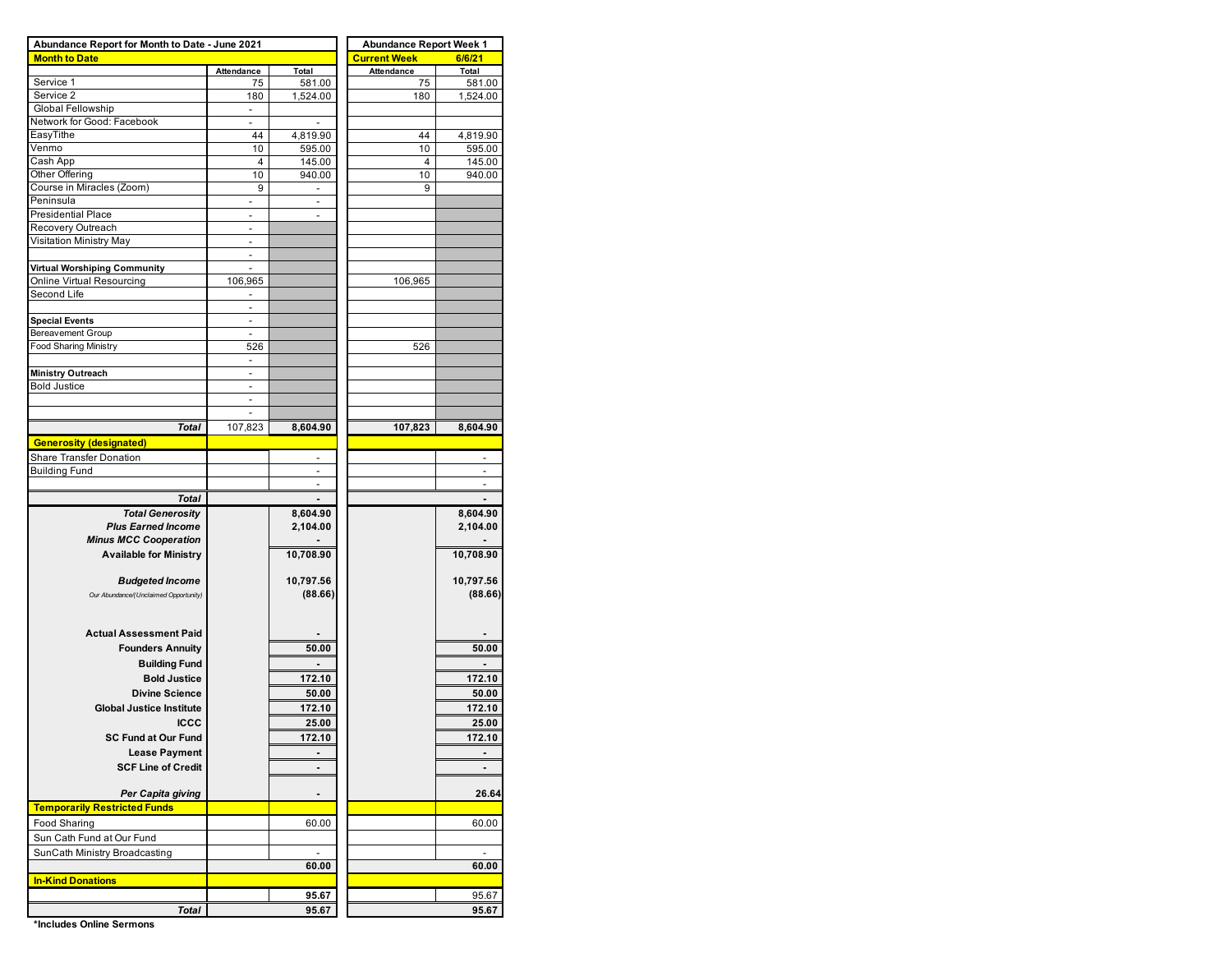| Abundance Report for Month to Date - June 2021 | <b>Abundance Report Week 1</b> |                              |                     |                |  |  |  |  |
|------------------------------------------------|--------------------------------|------------------------------|---------------------|----------------|--|--|--|--|
| <b>Month to Date</b>                           |                                |                              | <b>Current Week</b> | 6/6/21         |  |  |  |  |
|                                                | Attendance                     | Total                        | Attendance          | Total          |  |  |  |  |
| Service 1                                      | 75                             | 581.00                       | 75                  | 581.00         |  |  |  |  |
| Service 2                                      | 180                            | 1,524.00                     | 180                 | 1,524.00       |  |  |  |  |
| Global Fellowship                              | $\overline{\phantom{a}}$       |                              |                     |                |  |  |  |  |
| Network for Good: Facebook                     | $\blacksquare$                 | $\blacksquare$               |                     |                |  |  |  |  |
| EasyTithe                                      | 44                             | 4,819.90                     | 44                  | 4,819.90       |  |  |  |  |
| Venmo                                          | 10                             | 595.00                       | 10                  | 595.00         |  |  |  |  |
| Cash App                                       | 4                              | 145.00                       | 4                   | 145.00         |  |  |  |  |
| Other Offering                                 | 10                             | 940.00                       | 10                  | 940.00         |  |  |  |  |
| Course in Miracles (Zoom)                      | 9                              | $\overline{\phantom{a}}$     | 9                   |                |  |  |  |  |
| Peninsula                                      | $\overline{\phantom{a}}$       | $\overline{\phantom{a}}$     |                     |                |  |  |  |  |
| Presidential Place                             |                                | $\qquad \qquad \blacksquare$ |                     |                |  |  |  |  |
| Recovery Outreach                              |                                |                              |                     |                |  |  |  |  |
| Visitation Ministry May                        |                                |                              |                     |                |  |  |  |  |
|                                                | ٠                              |                              |                     |                |  |  |  |  |
| Virtual Worshiping Community                   | ٠                              |                              |                     |                |  |  |  |  |
| Online Virtual Resourcing                      | 106,965                        |                              | 106,965             |                |  |  |  |  |
| Second Life                                    |                                |                              |                     |                |  |  |  |  |
|                                                | $\overline{a}$                 |                              |                     |                |  |  |  |  |
| <b>Special Events</b>                          | $\overline{\phantom{a}}$       |                              |                     |                |  |  |  |  |
| <b>Bereavement Group</b>                       | $\overline{\phantom{a}}$       |                              |                     |                |  |  |  |  |
| <b>Food Sharing Ministry</b>                   | 526                            |                              | 526                 |                |  |  |  |  |
|                                                | $\overline{\phantom{a}}$       |                              |                     |                |  |  |  |  |
| <b>Ministry Outreach</b>                       |                                |                              |                     |                |  |  |  |  |
| <b>Bold Justice</b>                            |                                |                              |                     |                |  |  |  |  |
|                                                |                                |                              |                     |                |  |  |  |  |
|                                                | ÷,                             |                              |                     |                |  |  |  |  |
| Total                                          | 107,823                        | 8,604.90                     | 107,823             | 8,604.90       |  |  |  |  |
| <b>Generosity (designated)</b>                 |                                |                              |                     |                |  |  |  |  |
| Share Transfer Donation                        |                                | $\overline{\phantom{a}}$     |                     |                |  |  |  |  |
| <b>Building Fund</b>                           |                                | ٠                            |                     | ÷              |  |  |  |  |
|                                                |                                |                              |                     |                |  |  |  |  |
|                                                |                                |                              |                     |                |  |  |  |  |
| <b>Total</b>                                   |                                |                              |                     |                |  |  |  |  |
| <b>Total Generosity</b>                        |                                | 8,604.90                     |                     | 8,604.90       |  |  |  |  |
| <b>Plus Earned Income</b>                      |                                | 2,104.00                     |                     | 2,104.00       |  |  |  |  |
| <b>Minus MCC Cooperation</b>                   |                                |                              |                     |                |  |  |  |  |
| <b>Available for Ministry</b>                  |                                | 10,708.90                    |                     | 10,708.90      |  |  |  |  |
|                                                |                                |                              |                     |                |  |  |  |  |
| <b>Budgeted Income</b>                         |                                | 10,797.56                    |                     | 10,797.56      |  |  |  |  |
| Our Abundance/(Unclaimed Opportunity)          |                                | (88.66)                      |                     | (88.66)        |  |  |  |  |
|                                                |                                |                              |                     |                |  |  |  |  |
|                                                |                                |                              |                     |                |  |  |  |  |
| <b>Actual Assessment Paid</b>                  |                                |                              |                     |                |  |  |  |  |
| <b>Founders Annuity</b>                        |                                | 50.00                        |                     | 50.00          |  |  |  |  |
| <b>Building Fund</b>                           |                                |                              |                     |                |  |  |  |  |
| <b>Bold Justice</b>                            |                                | 172.10                       |                     | 172.10         |  |  |  |  |
| <b>Divine Science</b>                          |                                | 50.00                        |                     | 50.00          |  |  |  |  |
|                                                |                                |                              |                     |                |  |  |  |  |
| <b>Global Justice Institute</b>                |                                | 172.10                       |                     | 172.10         |  |  |  |  |
| <b>ICCC</b>                                    |                                | 25.00                        |                     | 25.00          |  |  |  |  |
| <b>SC Fund at Our Fund</b>                     |                                | 172.10                       |                     | 172.10         |  |  |  |  |
| <b>Lease Payment</b>                           |                                |                              |                     |                |  |  |  |  |
| <b>SCF Line of Credit</b>                      |                                | $\blacksquare$               |                     | $\blacksquare$ |  |  |  |  |
|                                                |                                |                              |                     |                |  |  |  |  |
| Per Capita giving                              |                                | ۰                            |                     | 26.64          |  |  |  |  |
| <b>Temporarily Restricted Funds</b>            |                                |                              |                     |                |  |  |  |  |
|                                                |                                |                              |                     |                |  |  |  |  |
| Food Sharing                                   |                                | 60.00                        |                     | 60.00          |  |  |  |  |
| Sun Cath Fund at Our Fund                      |                                |                              |                     |                |  |  |  |  |
| SunCath Ministry Broadcasting                  |                                | $\overline{\phantom{a}}$     |                     | $\overline{a}$ |  |  |  |  |
|                                                |                                | 60.00                        |                     | 60.00          |  |  |  |  |
| <b>In-Kind Donations</b>                       |                                |                              |                     |                |  |  |  |  |
|                                                |                                | 95.67                        |                     | 95.67          |  |  |  |  |
| Total                                          |                                | 95.67                        |                     | 95.67          |  |  |  |  |
|                                                |                                |                              |                     |                |  |  |  |  |

**\*Includes Online Sermons**